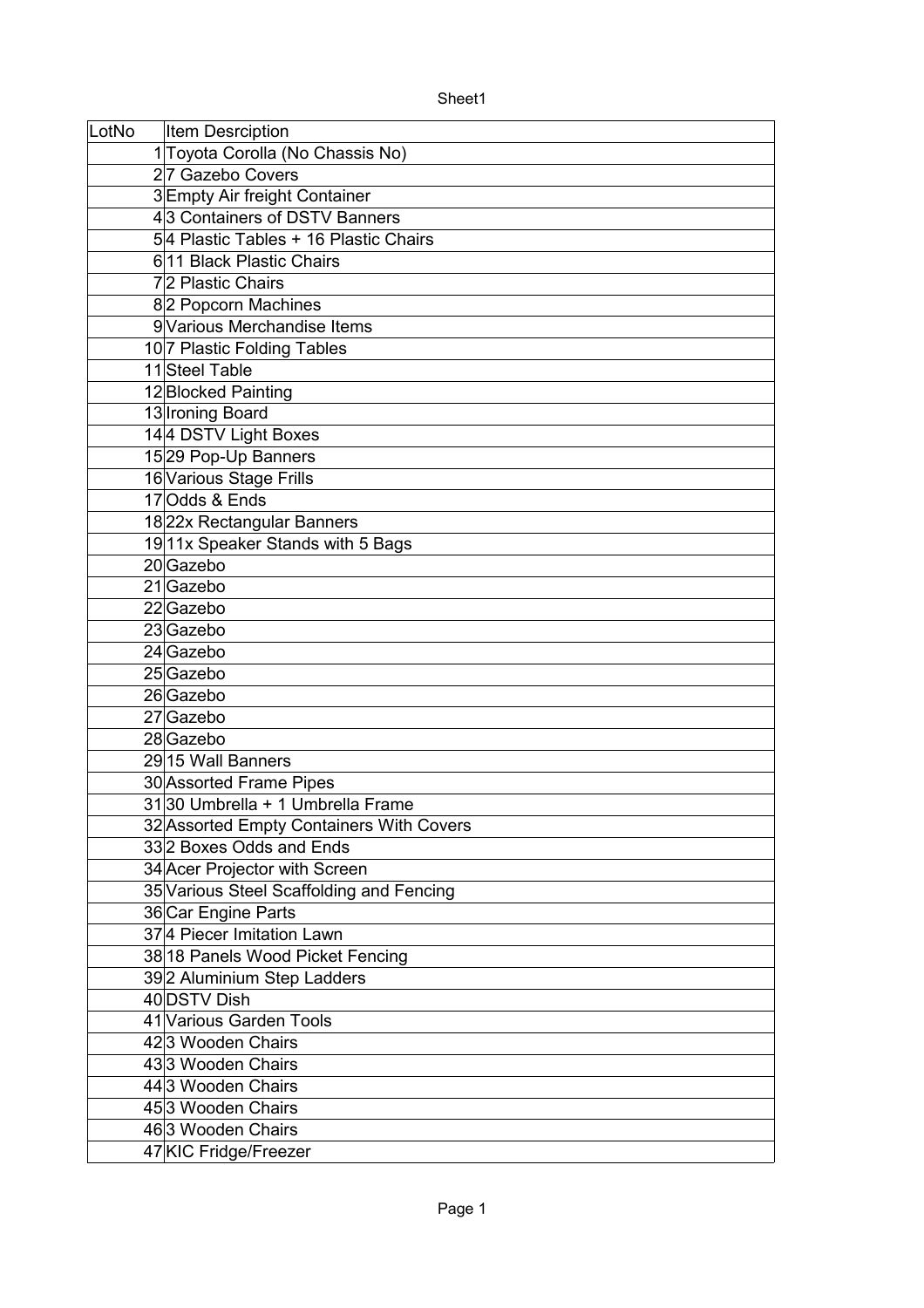| LotNo | <b>Item Desrciption</b>                  |
|-------|------------------------------------------|
|       | 1 Toyota Corolla (No Chassis No)         |
|       | 27 Gazebo Covers                         |
|       | 3Empty Air freight Container             |
|       | 43 Containers of DSTV Banners            |
|       | 54 Plastic Tables + 16 Plastic Chairs    |
|       | 611 Black Plastic Chairs                 |
|       | 72 Plastic Chairs                        |
|       | 82 Popcorn Machines                      |
|       | 9 Various Merchandise Items              |
|       | 10 7 Plastic Folding Tables              |
|       | 11 Steel Table                           |
|       | 12 Blocked Painting                      |
|       | 13 Ironing Board                         |
|       | 144 DSTV Light Boxes                     |
|       | 1529 Pop-Up Banners                      |
|       | 16 Various Stage Frills                  |
|       | 17 Odds & Ends                           |
|       | 1822x Rectangular Banners                |
|       | 1911x Speaker Stands with 5 Bags         |
|       | 20 Gazebo                                |
|       | 21 Gazebo                                |
|       | 22 Gazebo                                |
|       | 23 Gazebo                                |
|       | 24 Gazebo                                |
|       | 25 Gazebo                                |
|       | 26 Gazebo                                |
|       | 27 Gazebo                                |
|       | 28 Gazebo                                |
|       | 29 15 Wall Banners                       |
|       | 30 Assorted Frame Pipes                  |
|       | 3130 Umbrella + 1 Umbrella Frame         |
|       | 32 Assorted Empty Containers With Covers |
|       | 332 Boxes Odds and Ends                  |
|       | 34 Acer Projector with Screen            |
|       | 35 Various Steel Scaffolding and Fencing |
|       | 36 Car Engine Parts                      |
|       | 374 Piecer Imitation Lawn                |
|       | 38 18 Panels Wood Picket Fencing         |
|       | 39 2 Aluminium Step Ladders              |
|       | 40 DSTV Dish                             |
|       | 41 Various Garden Tools                  |
|       | 423 Wooden Chairs                        |
|       | 433 Wooden Chairs                        |
|       | 44 3 Wooden Chairs                       |
|       | 453 Wooden Chairs                        |
|       | 463 Wooden Chairs                        |
|       | 47 KIC Fridge/Freezer                    |